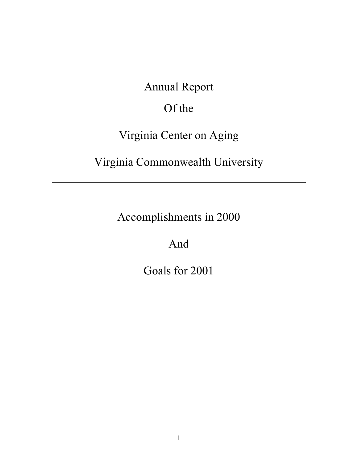Annual Report

# Of the

# Virginia Center on Aging

# Virginia Commonwealth University

Accomplishments in 2000

And

Goals for 2001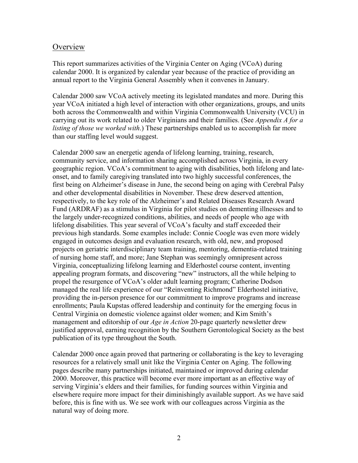## **Overview**

This report summarizes activities of the Virginia Center on Aging (VCoA) during calendar 2000. It is organized by calendar year because of the practice of providing an annual report to the Virginia General Assembly when it convenes in January.

Calendar 2000 saw VCoA actively meeting its legislated mandates and more. During this year VCoA initiated a high level of interaction with other organizations, groups, and units both across the Commonwealth and within Virginia Commonwealth University (VCU) in carrying out its work related to older Virginians and their families. (See *Appendix A for a listing of those we worked with*.) These partnerships enabled us to accomplish far more than our staffing level would suggest.

Calendar 2000 saw an energetic agenda of lifelong learning, training, research, community service, and information sharing accomplished across Virginia, in every geographic region. VCoA's commitment to aging with disabilities, both lifelong and lateonset, and to family caregiving translated into two highly successful conferences, the first being on Alzheimer's disease in June, the second being on aging with Cerebral Palsy and other developmental disabilities in November. These drew deserved attention, respectively, to the key role of the Alzheimer's and Related Diseases Research Award Fund (ARDRAF) as a stimulus in Virginia for pilot studies on dementing illnesses and to the largely under-recognized conditions, abilities, and needs of people who age with lifelong disabilities. This year several of VCoA's faculty and staff exceeded their previous high standards. Some examples include: Connie Coogle was even more widely engaged in outcomes design and evaluation research, with old, new, and proposed projects on geriatric interdisciplinary team training, mentoring, dementia-related training of nursing home staff, and more; Jane Stephan was seemingly omnipresent across Virginia, conceptualizing lifelong learning and Elderhostel course content, inventing appealing program formats, and discovering "new" instructors, all the while helping to propel the resurgence of VCoA's older adult learning program; Catherine Dodson managed the real life experience of our "Reinventing Richmond" Elderhostel initiative, providing the in-person presence for our commitment to improve programs and increase enrollments; Paula Kupstas offered leadership and continuity for the emerging focus in Central Virginia on domestic violence against older women; and Kim Smith's management and editorship of our *Age in Action* 20-page quarterly newsletter drew justified approval, earning recognition by the Southern Gerontological Society as the best publication of its type throughout the South.

Calendar 2000 once again proved that partnering or collaborating is the key to leveraging resources for a relatively small unit like the Virginia Center on Aging. The following pages describe many partnerships initiated, maintained or improved during calendar 2000. Moreover, this practice will become ever more important as an effective way of serving Virginia's elders and their families, for funding sources within Virginia and elsewhere require more impact for their diminishingly available support. As we have said before, this is fine with us. We see work with our colleagues across Virginia as the natural way of doing more.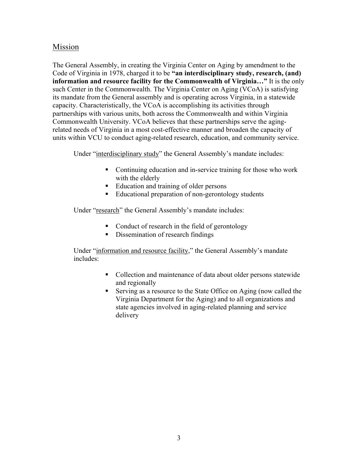## Mission

The General Assembly, in creating the Virginia Center on Aging by amendment to the Code of Virginia in 1978, charged it to be **"an interdisciplinary study, research, (and) information and resource facility for the Commonwealth of Virginia…"** It is the only such Center in the Commonwealth. The Virginia Center on Aging (VCoA) is satisfying its mandate from the General assembly and is operating across Virginia, in a statewide capacity. Characteristically, the VCoA is accomplishing its activities through partnerships with various units, both across the Commonwealth and within Virginia Commonwealth University. VCoA believes that these partnerships serve the agingrelated needs of Virginia in a most cost-effective manner and broaden the capacity of units within VCU to conduct aging-related research, education, and community service.

Under "interdisciplinary study" the General Assembly's mandate includes:

- Continuing education and in-service training for those who work with the elderly
- Education and training of older persons
- Educational preparation of non-gerontology students

Under "research" the General Assembly's mandate includes:

- Conduct of research in the field of gerontology
- Dissemination of research findings

Under "information and resource facility," the General Assembly's mandate includes:

- Collection and maintenance of data about older persons statewide and regionally
- Serving as a resource to the State Office on Aging (now called the Virginia Department for the Aging) and to all organizations and state agencies involved in aging-related planning and service delivery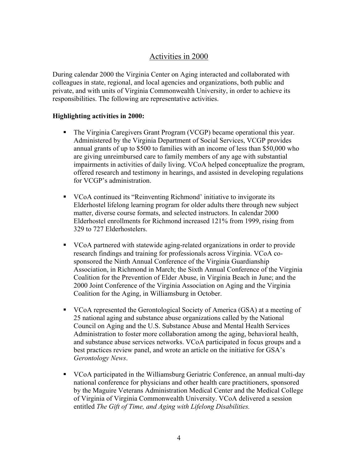## Activities in 2000

During calendar 2000 the Virginia Center on Aging interacted and collaborated with colleagues in state, regional, and local agencies and organizations, both public and private, and with units of Virginia Commonwealth University, in order to achieve its responsibilities. The following are representative activities.

#### **Highlighting activities in 2000:**

- The Virginia Caregivers Grant Program (VCGP) became operational this year. Administered by the Virginia Department of Social Services, VCGP provides annual grants of up to \$500 to families with an income of less than \$50,000 who are giving unreimbursed care to family members of any age with substantial impairments in activities of daily living. VCoA helped conceptualize the program, offered research and testimony in hearings, and assisted in developing regulations for VCGP's administration.
- VCoA continued its "Reinventing Richmond' initiative to invigorate its Elderhostel lifelong learning program for older adults there through new subject matter, diverse course formats, and selected instructors. In calendar 2000 Elderhostel enrollments for Richmond increased 121% from 1999, rising from 329 to 727 Elderhostelers.
- VCoA partnered with statewide aging-related organizations in order to provide research findings and training for professionals across Virginia. VCoA cosponsored the Ninth Annual Conference of the Virginia Guardianship Association, in Richmond in March; the Sixth Annual Conference of the Virginia Coalition for the Prevention of Elder Abuse, in Virginia Beach in June; and the 2000 Joint Conference of the Virginia Association on Aging and the Virginia Coalition for the Aging, in Williamsburg in October.
- VCoA represented the Gerontological Society of America (GSA) at a meeting of 25 national aging and substance abuse organizations called by the National Council on Aging and the U.S. Substance Abuse and Mental Health Services Administration to foster more collaboration among the aging, behavioral health, and substance abuse services networks. VCoA participated in focus groups and a best practices review panel, and wrote an article on the initiative for GSA's *Gerontology News*.
- VCoA participated in the Williamsburg Geriatric Conference, an annual multi-day national conference for physicians and other health care practitioners, sponsored by the Maguire Veterans Administration Medical Center and the Medical College of Virginia of Virginia Commonwealth University. VCoA delivered a session entitled *The Gift of Time, and Aging with Lifelong Disabilities.*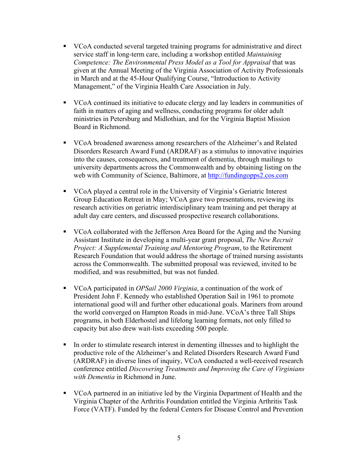- VCoA conducted several targeted training programs for administrative and direct service staff in long-term care, including a workshop entitled *Maintaining Competence: The Environmental Press Model as a Tool for Appraisal* that was given at the Annual Meeting of the Virginia Association of Activity Professionals in March and at the 45-Hour Qualifying Course, "Introduction to Activity Management," of the Virginia Health Care Association in July.
- VCoA continued its initiative to educate clergy and lay leaders in communities of faith in matters of aging and wellness, conducting programs for older adult ministries in Petersburg and Midlothian, and for the Virginia Baptist Mission Board in Richmond.
- VCoA broadened awareness among researchers of the Alzheimer's and Related Disorders Research Award Fund (ARDRAF) as a stimulus to innovative inquiries into the causes, consequences, and treatment of dementia, through mailings to university departments across the Commonwealth and by obtaining listing on the web with Community of Science, Baltimore, at http://fundingopps2.cos.com
- VCoA played a central role in the University of Virginia's Geriatric Interest Group Education Retreat in May; VCoA gave two presentations, reviewing its research activities on geriatric interdisciplinary team training and pet therapy at adult day care centers, and discussed prospective research collaborations.
- VCoA collaborated with the Jefferson Area Board for the Aging and the Nursing Assistant Institute in developing a multi-year grant proposal, *The New Recruit Project: A Supplemental Training and Mentoring Program*, to the Retirement Research Foundation that would address the shortage of trained nursing assistants across the Commonwealth. The submitted proposal was reviewed, invited to be modified, and was resubmitted, but was not funded.
- VCoA participated in *OPSail 2000 Virginia*, a continuation of the work of President John F. Kennedy who established Operation Sail in 1961 to promote international good will and further other educational goals. Mariners from around the world converged on Hampton Roads in mid-June. VCoA's three Tall Ships programs, in both Elderhostel and lifelong learning formats, not only filled to capacity but also drew wait-lists exceeding 500 people.
- In order to stimulate research interest in dementing illnesses and to highlight the productive role of the Alzheimer's and Related Disorders Research Award Fund (ARDRAF) in diverse lines of inquiry, VCoA conducted a well-received research conference entitled *Discovering Treatments and Improving the Care of Virginians with Dementia* in Richmond in June.
- VCoA partnered in an initiative led by the Virginia Department of Health and the Virginia Chapter of the Arthritis Foundation entitled the Virginia Arthritis Task Force (VATF). Funded by the federal Centers for Disease Control and Prevention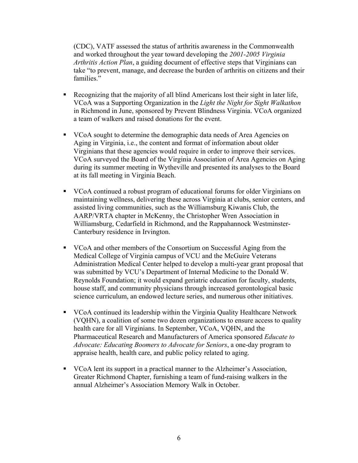(CDC), VATF assessed the status of arthritis awareness in the Commonwealth and worked throughout the year toward developing the *2001-2005 Virginia Arthritis Action Plan*, a guiding document of effective steps that Virginians can take "to prevent, manage, and decrease the burden of arthritis on citizens and their families."

- Recognizing that the majority of all blind Americans lost their sight in later life, VCoA was a Supporting Organization in the *Light the Night for Sight Walkathon*  in Richmond in June, sponsored by Prevent Blindness Virginia. VCoA organized a team of walkers and raised donations for the event.
- VCoA sought to determine the demographic data needs of Area Agencies on Aging in Virginia, i.e., the content and format of information about older Virginians that these agencies would require in order to improve their services. VCoA surveyed the Board of the Virginia Association of Area Agencies on Aging during its summer meeting in Wytheville and presented its analyses to the Board at its fall meeting in Virginia Beach.
- VCoA continued a robust program of educational forums for older Virginians on maintaining wellness, delivering these across Virginia at clubs, senior centers, and assisted living communities, such as the Williamsburg Kiwanis Club, the AARP/VRTA chapter in McKenny, the Christopher Wren Association in Williamsburg, Cedarfield in Richmond, and the Rappahannock Westminster-Canterbury residence in Irvington.
- VCoA and other members of the Consortium on Successful Aging from the Medical College of Virginia campus of VCU and the McGuire Veterans Administration Medical Center helped to develop a multi-year grant proposal that was submitted by VCU's Department of Internal Medicine to the Donald W. Reynolds Foundation; it would expand geriatric education for faculty, students, house staff, and community physicians through increased gerontological basic science curriculum, an endowed lecture series, and numerous other initiatives.
- VCoA continued its leadership within the Virginia Quality Healthcare Network (VQHN), a coalition of some two dozen organizations to ensure access to quality health care for all Virginians. In September, VCoA, VQHN, and the Pharmaceutical Research and Manufacturers of America sponsored *Educate to Advocate: Educating Boomers to Advocate for Seniors*, a one-day program to appraise health, health care, and public policy related to aging.
- VCoA lent its support in a practical manner to the Alzheimer's Association, Greater Richmond Chapter, furnishing a team of fund-raising walkers in the annual Alzheimer's Association Memory Walk in October.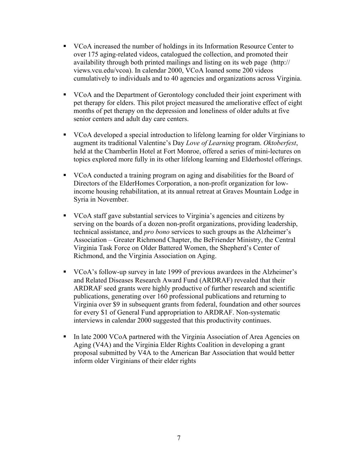- VCoA increased the number of holdings in its Information Resource Center to over 175 aging-related videos, catalogued the collection, and promoted their availability through both printed mailings and listing on its web page (http:// views.vcu.edu/vcoa). In calendar 2000, VCoA loaned some 200 videos cumulatively to individuals and to 40 agencies and organizations across Virginia.
- VCoA and the Department of Gerontology concluded their joint experiment with pet therapy for elders. This pilot project measured the ameliorative effect of eight months of pet therapy on the depression and loneliness of older adults at five senior centers and adult day care centers.
- VCoA developed a special introduction to lifelong learning for older Virginians to augment its traditional Valentine's Day *Love of Learning* program. *Oktoberfest*, held at the Chamberlin Hotel at Fort Monroe, offered a series of mini-lectures on topics explored more fully in its other lifelong learning and Elderhostel offerings.
- VCoA conducted a training program on aging and disabilities for the Board of Directors of the ElderHomes Corporation, a non-profit organization for lowincome housing rehabilitation, at its annual retreat at Graves Mountain Lodge in Syria in November.
- VCoA staff gave substantial services to Virginia's agencies and citizens by serving on the boards of a dozen non-profit organizations, providing leadership, technical assistance, and *pro bono* services to such groups as the Alzheimer's Association – Greater Richmond Chapter, the BeFriender Ministry, the Central Virginia Task Force on Older Battered Women, the Shepherd's Center of Richmond, and the Virginia Association on Aging.
- VCoA's follow-up survey in late 1999 of previous awardees in the Alzheimer's and Related Diseases Research Award Fund (ARDRAF) revealed that their ARDRAF seed grants were highly productive of further research and scientific publications, generating over 160 professional publications and returning to Virginia over \$9 in subsequent grants from federal, foundation and other sources for every \$1 of General Fund appropriation to ARDRAF. Non-systematic interviews in calendar 2000 suggested that this productivity continues.
- In late 2000 VCoA partnered with the Virginia Association of Area Agencies on Aging (V4A) and the Virginia Elder Rights Coalition in developing a grant proposal submitted by V4A to the American Bar Association that would better inform older Virginians of their elder rights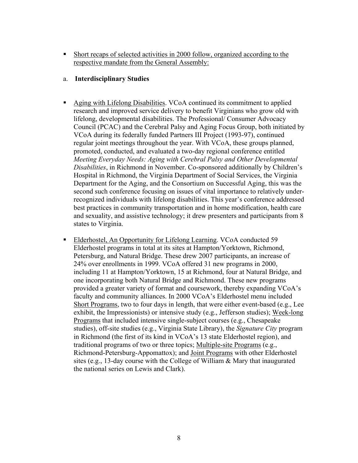Short recaps of selected activities in 2000 follow, organized according to the respective mandate from the General Assembly:

### a. **Interdisciplinary Studies**

- Aging with Lifelong Disabilities. VCoA continued its commitment to applied research and improved service delivery to benefit Virginians who grow old with lifelong, developmental disabilities. The Professional/ Consumer Advocacy Council (PCAC) and the Cerebral Palsy and Aging Focus Group, both initiated by VCoA during its federally funded Partners III Project (1993-97), continued regular joint meetings throughout the year. With VCoA, these groups planned, promoted, conducted, and evaluated a two-day regional conference entitled *Meeting Everyday Needs: Aging with Cerebral Palsy and Other Developmental Disabilities*, in Richmond in November. Co-sponsored additionally by Children's Hospital in Richmond, the Virginia Department of Social Services, the Virginia Department for the Aging, and the Consortium on Successful Aging, this was the second such conference focusing on issues of vital importance to relatively underrecognized individuals with lifelong disabilities. This year's conference addressed best practices in community transportation and in home modification, health care and sexuality, and assistive technology; it drew presenters and participants from 8 states to Virginia.
- Elderhostel, An Opportunity for Lifelong Learning. VCoA conducted 59 Elderhostel programs in total at its sites at Hampton/Yorktown, Richmond, Petersburg, and Natural Bridge. These drew 2007 participants, an increase of 24% over enrollments in 1999. VCoA offered 31 new programs in 2000, including 11 at Hampton/Yorktown, 15 at Richmond, four at Natural Bridge, and one incorporating both Natural Bridge and Richmond. These new programs provided a greater variety of format and coursework, thereby expanding VCoA's faculty and community alliances. In 2000 VCoA's Elderhostel menu included Short Programs, two to four days in length, that were either event-based (e.g., Lee exhibit, the Impressionists) or intensive study (e.g., Jefferson studies); Week-long Programs that included intensive single-subject courses (e.g., Chesapeake studies), off-site studies (e.g., Virginia State Library), the *Signature City* program in Richmond (the first of its kind in VCoA's 13 state Elderhostel region), and traditional programs of two or three topics; Multiple-site Programs (e.g., Richmond-Petersburg-Appomattox); and Joint Programs with other Elderhostel sites (e.g., 13-day course with the College of William & Mary that inaugurated the national series on Lewis and Clark).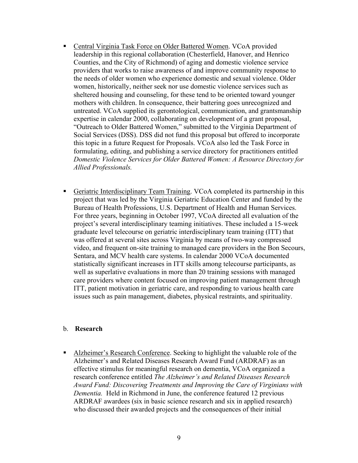- Central Virginia Task Force on Older Battered Women. VCoA provided leadership in this regional collaboration (Chesterfield, Hanover, and Henrico Counties, and the City of Richmond) of aging and domestic violence service providers that works to raise awareness of and improve community response to the needs of older women who experience domestic and sexual violence. Older women, historically, neither seek nor use domestic violence services such as sheltered housing and counseling, for these tend to be oriented toward younger mothers with children. In consequence, their battering goes unrecognized and untreated. VCoA supplied its gerontological, communication, and grantsmanship expertise in calendar 2000, collaborating on development of a grant proposal, "Outreach to Older Battered Women," submitted to the Virginia Department of Social Services (DSS). DSS did not fund this proposal but offered to incorporate this topic in a future Request for Proposals. VCoA also led the Task Force in formulating, editing, and publishing a service directory for practitioners entitled *Domestic Violence Services for Older Battered Women: A Resource Directory for Allied Professionals.*
- Geriatric Interdisciplinary Team Training. VCoA completed its partnership in this project that was led by the Virginia Geriatric Education Center and funded by the Bureau of Health Professions, U.S. Department of Health and Human Services. For three years, beginning in October 1997, VCoA directed all evaluation of the project's several interdisciplinary teaming initiatives. These included a 15-week graduate level telecourse on geriatric interdisciplinary team training (ITT) that was offered at several sites across Virginia by means of two-way compressed video, and frequent on-site training to managed care providers in the Bon Secours, Sentara, and MCV health care systems. In calendar 2000 VCoA documented statistically significant increases in ITT skills among telecourse participants, as well as superlative evaluations in more than 20 training sessions with managed care providers where content focused on improving patient management through ITT, patient motivation in geriatric care, and responding to various health care issues such as pain management, diabetes, physical restraints, and spirituality.

#### b. **Research**

 Alzheimer's Research Conference. Seeking to highlight the valuable role of the Alzheimer's and Related Diseases Research Award Fund (ARDRAF) as an effective stimulus for meaningful research on dementia, VCoA organized a research conference entitled *The Alzheimer's and Related Diseases Research Award Fund: Discovering Treatments and Improving the Care of Virginians with Dementia.* Held in Richmond in June, the conference featured 12 previous ARDRAF awardees (six in basic science research and six in applied research) who discussed their awarded projects and the consequences of their initial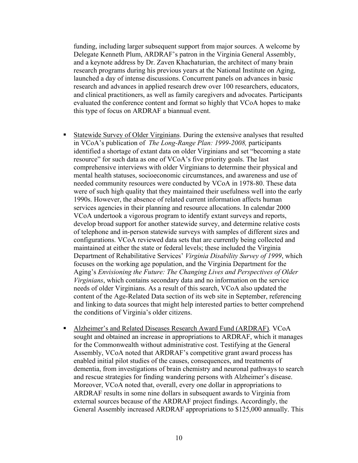funding, including larger subsequent support from major sources. A welcome by Delegate Kenneth Plum, ARDRAF's patron in the Virginia General Assembly, and a keynote address by Dr. Zaven Khachaturian, the architect of many brain research programs during his previous years at the National Institute on Aging, launched a day of intense discussions. Concurrent panels on advances in basic research and advances in applied research drew over 100 researchers, educators, and clinical practitioners, as well as family caregivers and advocates. Participants evaluated the conference content and format so highly that VCoA hopes to make this type of focus on ARDRAF a biannual event.

- Statewide Survey of Older Virginians. During the extensive analyses that resulted in VCoA's publication of *The Long-Range Plan: 1999-2008,* participants identified a shortage of extant data on older Virginians and set "becoming a state resource" for such data as one of VCoA's five priority goals. The last comprehensive interviews with older Virginians to determine their physical and mental health statuses, socioeconomic circumstances, and awareness and use of needed community resources were conducted by VCoA in 1978-80. These data were of such high quality that they maintained their usefulness well into the early 1990s. However, the absence of related current information affects human services agencies in their planning and resource allocations. In calendar 2000 VCoA undertook a vigorous program to identify extant surveys and reports, develop broad support for another statewide survey, and determine relative costs of telephone and in-person statewide surveys with samples of different sizes and configurations. VCoA reviewed data sets that are currently being collected and maintained at either the state or federal levels; these included the Virginia Department of Rehabilitative Services' *Virginia Disability Survey of 1999*, which focuses on the working age population, and the Virginia Department for the Aging's *Envisioning the Future: The Changing Lives and Perspectives of Older Virginians*, which contains secondary data and no information on the service needs of older Virginians. As a result of this search, VCoA also updated the content of the Age-Related Data section of its web site in September, referencing and linking to data sources that might help interested parties to better comprehend the conditions of Virginia's older citizens.
- Alzheimer's and Related Diseases Research Award Fund (ARDRAF)*.* VCoA sought and obtained an increase in appropriations to ARDRAF, which it manages for the Commonwealth without administrative cost. Testifying at the General Assembly, VCoA noted that ARDRAF's competitive grant award process has enabled initial pilot studies of the causes, consequences, and treatments of dementia, from investigations of brain chemistry and neuronal pathways to search and rescue strategies for finding wandering persons with Alzheimer's disease. Moreover, VCoA noted that, overall, every one dollar in appropriations to ARDRAF results in some nine dollars in subsequent awards to Virginia from external sources because of the ARDRAF project findings. Accordingly, the General Assembly increased ARDRAF appropriations to \$125,000 annually. This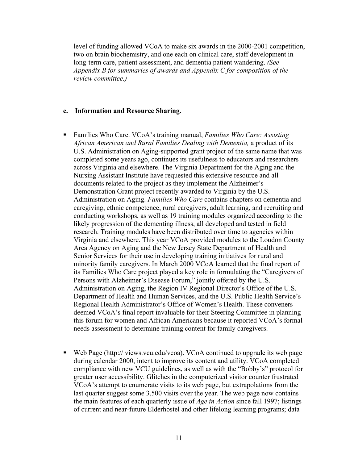level of funding allowed VCoA to make six awards in the 2000-2001 competition, two on brain biochemistry, and one each on clinical care, staff development in long-term care, patient assessment, and dementia patient wandering. *(See Appendix B for summaries of awards and Appendix C for composition of the review committee.)* 

#### **c. Information and Resource Sharing.**

- Families Who Care. VCoA's training manual, *Families Who Care: Assisting African American and Rural Families Dealing with Dementia,* a product of its U.S. Administration on Aging-supported grant project of the same name that was completed some years ago, continues its usefulness to educators and researchers across Virginia and elsewhere. The Virginia Department for the Aging and the Nursing Assistant Institute have requested this extensive resource and all documents related to the project as they implement the Alzheimer's Demonstration Grant project recently awarded to Virginia by the U.S. Administration on Aging. *Families Who Care* contains chapters on dementia and caregiving, ethnic competence, rural caregivers, adult learning, and recruiting and conducting workshops, as well as 19 training modules organized according to the likely progression of the dementing illness, all developed and tested in field research. Training modules have been distributed over time to agencies within Virginia and elsewhere. This year VCoA provided modules to the Loudon County Area Agency on Aging and the New Jersey State Department of Health and Senior Services for their use in developing training initiatives for rural and minority family caregivers. In March 2000 VCoA learned that the final report of its Families Who Care project played a key role in formulating the "Caregivers of Persons with Alzheimer's Disease Forum," jointly offered by the U.S. Administration on Aging, the Region IV Regional Director's Office of the U.S. Department of Health and Human Services, and the U.S. Public Health Service's Regional Health Administrator's Office of Women's Health. These conveners deemed VCoA's final report invaluable for their Steering Committee in planning this forum for women and African Americans because it reported VCoA's formal needs assessment to determine training content for family caregivers.
- Web Page (http:// views.vcu.edu/vcoa). VCoA continued to upgrade its web page during calendar 2000, intent to improve its content and utility. VCoA completed compliance with new VCU guidelines, as well as with the "Bobby's" protocol for greater user accessibility. Glitches in the computerized visitor counter frustrated VCoA's attempt to enumerate visits to its web page, but extrapolations from the last quarter suggest some 3,500 visits over the year. The web page now contains the main features of each quarterly issue of *Age in Action* since fall 1997; listings of current and near-future Elderhostel and other lifelong learning programs; data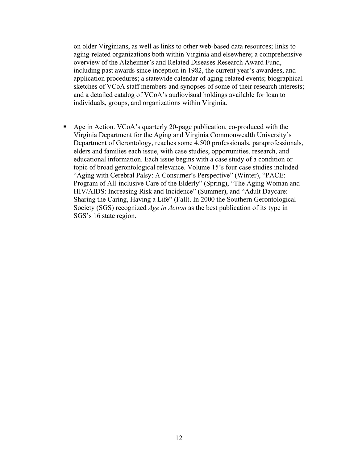on older Virginians, as well as links to other web-based data resources; links to aging-related organizations both within Virginia and elsewhere; a comprehensive overview of the Alzheimer's and Related Diseases Research Award Fund, including past awards since inception in 1982, the current year's awardees, and application procedures; a statewide calendar of aging-related events; biographical sketches of VCoA staff members and synopses of some of their research interests; and a detailed catalog of VCoA's audiovisual holdings available for loan to individuals, groups, and organizations within Virginia.

Age in Action. VCoA's quarterly 20-page publication, co-produced with the Virginia Department for the Aging and Virginia Commonwealth University's Department of Gerontology, reaches some 4,500 professionals, paraprofessionals, elders and families each issue, with case studies, opportunities, research, and educational information. Each issue begins with a case study of a condition or topic of broad gerontological relevance. Volume 15's four case studies included "Aging with Cerebral Palsy: A Consumer's Perspective" (Winter), "PACE: Program of All-inclusive Care of the Elderly" (Spring), "The Aging Woman and HIV/AIDS: Increasing Risk and Incidence" (Summer), and "Adult Daycare: Sharing the Caring, Having a Life" (Fall). In 2000 the Southern Gerontological Society (SGS) recognized *Age in Action* as the best publication of its type in SGS's 16 state region.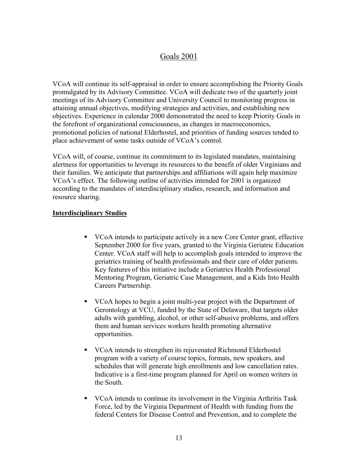# Goals 2001

VCoA will continue its self-appraisal in order to ensure accomplishing the Priority Goals promulgated by its Advisory Committee. VCoA will dedicate two of the quarterly joint meetings of its Advisory Committee and University Council to monitoring progress in attaining annual objectives, modifying strategies and activities, and establishing new objectives. Experience in calendar 2000 demonstrated the need to keep Priority Goals in the forefront of organizational consciousness, as changes in macroeconomics, promotional policies of national Elderhostel, and priorities of funding sources tended to place achievement of some tasks outside of VCoA's control.

VCoA will, of course, continue its commitment to its legislated mandates, maintaining alertness for opportunities to leverage its resources to the benefit of older Virginians and their families. We anticipate that partnerships and affiliations will again help maximize VCoA's effect. The following outline of activities intended for 2001 is organized according to the mandates of interdisciplinary studies, research, and information and resource sharing.

### **Interdisciplinary Studies**

- VCoA intends to participate actively in a new Core Center grant, effective September 2000 for five years, granted to the Virginia Geriatric Education Center. VCoA staff will help to accomplish goals intended to improve the geriatrics training of health professionals and their care of older patients. Key features of this initiative include a Geriatrics Health Professional Mentoring Program, Geriatric Case Management, and a Kids Into Health Careers Partnership.
- VCoA hopes to begin a joint multi-year project with the Department of Gerontology at VCU, funded by the State of Delaware, that targets older adults with gambling, alcohol, or other self-abusive problems, and offers them and human services workers health promoting alternative opportunities.
- VCoA intends to strengthen its rejuvenated Richmond Elderhostel program with a variety of course topics, formats, new speakers, and schedules that will generate high enrollments and low cancellation rates. Indicative is a first-time program planned for April on women writers in the South.
- VCoA intends to continue its involvement in the Virginia Arthritis Task Force, led by the Virginia Department of Health with funding from the federal Centers for Disease Control and Prevention, and to complete the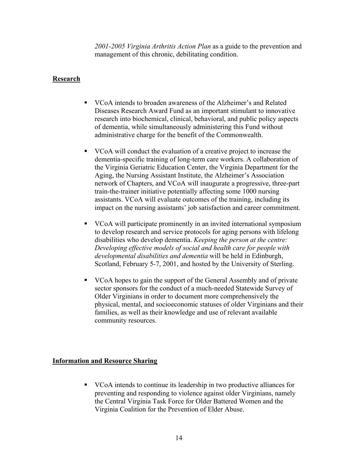*2001-2005 Virginia Arthritis Action Plan* as a guide to the prevention and management of this chronic, debilitating condition.

### **Research**

- VCoA intends to broaden awareness of the Alzheimer's and Related Diseases Research Award Fund as an important stimulant to innovative research into biochemical, clinical, behavioral, and public policy aspects of dementia, while simultaneously administering this Fund without administrative charge for the benefit of the Commonwealth.
- VCoA will conduct the evaluation of a creative project to increase the dementia-specific training of long-term care workers. A collaboration of the Virginia Geriatric Education Center, the Virginia Department for the Aging, the Nursing Assistant Institute, the Alzheimer's Association network of Chapters, and VCoA will inaugurate a progressive, three-part train-the-trainer initiative potentially affecting some 1000 nursing assistants. VCoA will evaluate outcomes of the training, including its impact on the nursing assistants' job satisfaction and career commitment.
- VCoA will participate prominently in an invited international symposium to develop research and service protocols for aging persons with lifelong disabilities who develop dementia. *Keeping the person at the centre: Developing effective models of social and health care for people with developmental disabilities and dementia* will be held in Edinburgh, Scotland, February 5-7, 2001, and hosted by the University of Sterling.
- VCoA hopes to gain the support of the General Assembly and of private sector sponsors for the conduct of a much-needed Statewide Survey of Older Virginians in order to document more comprehensively the physical, mental, and socioeconomic statuses of older Virginians and their families, as well as their knowledge and use of relevant available community resources.

#### **Information and Resource Sharing**

 VCoA intends to continue its leadership in two productive alliances for preventing and responding to violence against older Virginians, namely the Central Virginia Task Force for Older Battered Women and the Virginia Coalition for the Prevention of Elder Abuse.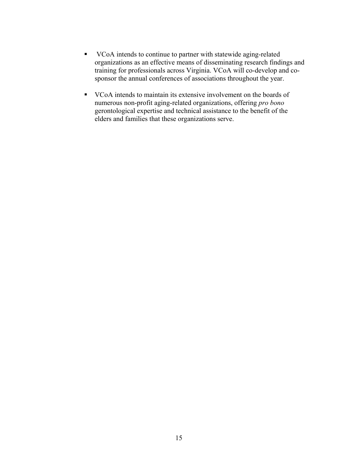- VCoA intends to continue to partner with statewide aging-related organizations as an effective means of disseminating research findings and training for professionals across Virginia. VCoA will co-develop and cosponsor the annual conferences of associations throughout the year.
- VCoA intends to maintain its extensive involvement on the boards of numerous non-profit aging-related organizations, offering *pro bono* gerontological expertise and technical assistance to the benefit of the elders and families that these organizations serve.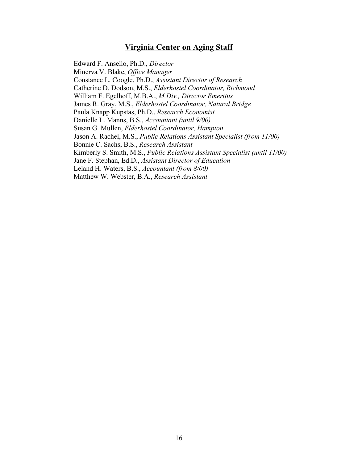## **Virginia Center on Aging Staff**

 Edward F. Ansello, Ph.D., *Director*  Minerva V. Blake, *Office Manager* Constance L. Coogle, Ph.D., *Assistant Director of Research* Catherine D. Dodson, M.S., *Elderhostel Coordinator, Richmond*  William F. Egelhoff, M.B.A., *M.Div., Director Emeritus* James R. Gray, M.S., *Elderhostel Coordinator, Natural Bridge* Paula Knapp Kupstas, Ph.D., *Research Economist* Danielle L. Manns, B.S., *Accountant (until 9/00)*  Susan G. Mullen, *Elderhostel Coordinator, Hampton* Jason A. Rachel, M.S., *Public Relations Assistant Specialist (from 11/00)* Bonnie C. Sachs, B.S., *Research Assistant* Kimberly S. Smith, M.S., *Public Relations Assistant Specialist (until 11/00)* Jane F. Stephan, Ed.D., *Assistant Director of Education* Leland H. Waters, B.S., *Accountant (from 8/00)*  Matthew W. Webster, B.A., *Research Assistant*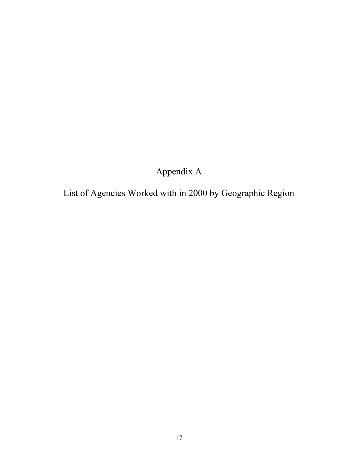Appendix A

List of Agencies Worked with in 2000 by Geographic Region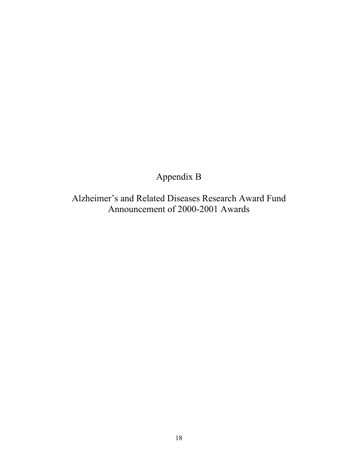Appendix B

Alzheimer's and Related Diseases Research Award Fund Announcement of 2000-2001 Awards